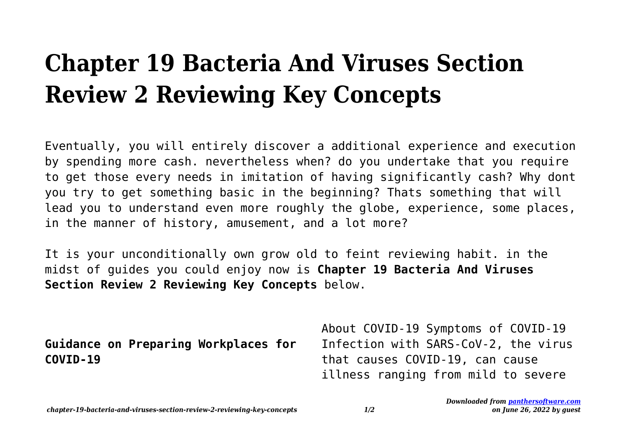## **Chapter 19 Bacteria And Viruses Section Review 2 Reviewing Key Concepts**

Eventually, you will entirely discover a additional experience and execution by spending more cash. nevertheless when? do you undertake that you require to get those every needs in imitation of having significantly cash? Why dont you try to get something basic in the beginning? Thats something that will lead you to understand even more roughly the globe, experience, some places, in the manner of history, amusement, and a lot more?

It is your unconditionally own grow old to feint reviewing habit. in the midst of guides you could enjoy now is **Chapter 19 Bacteria And Viruses Section Review 2 Reviewing Key Concepts** below.

**Guidance on Preparing Workplaces for COVID-19**

About COVID-19 Symptoms of COVID-19 Infection with SARS-CoV-2, the virus that causes COVID-19, can cause illness ranging from mild to severe